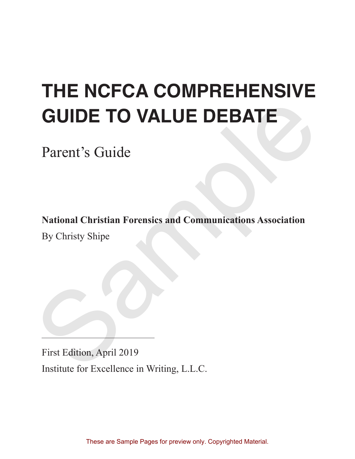# **THE NCFCA COMPREHENSIVE GUIDE TO VALUE DEBATE GUIDE TO VALUE DEBATE**<br>
Parent's Guide<br>
National Christian Forensics and Communications Association<br>
By Christy Shipe<br>
First Edition, April 2019<br>
Institute for Excellence in Writing L.L.C.

Parent's Guide

**National Christian Forensics and Communications Association**

By Christy Shipe

First Edition, April 2019 Institute for Excellence in Writing, L.L.C.

These are Sample Pages for preview only. Copyrighted Material.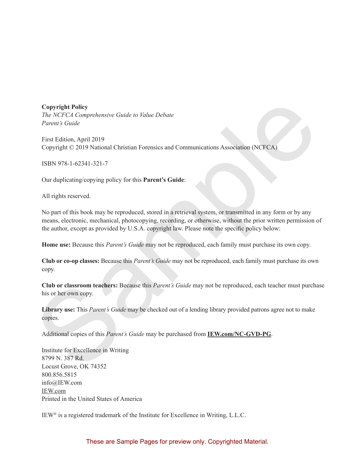**Copyright Policy**

*The NCFCA Comprehensive Guide to Value Debate Parent's Guide*

First Edition, April 2019 Copyright © 2019 National Christian Forensics and Communications Association (NCFCA)

ISBN 978-1-62341-321-7

Our duplicating/copying policy for this **Parent's Guide**:

All rights reserved.

No part of this book may be reproduced, stored in a retrieval system, or transmitted in any form or by any means, electronic, mechanical, photocopying, recording, or otherwise, without the prior written permission of the author, except as provided by U.S.A. copyright law. Please note the specific policy below: Conyright Policy<br>
The NCFCA Comprehensive Guide to Value Debate<br>
Furent's Guide<br>
Furent's Guide<br>
First Edition. April 2019<br>
Copyright © 2019 National Christian Forensics and Communications Association (NCFCA)<br>
ISBN 978-1-

**Home use:** Because this *Parent's Guide* may not be reproduced, each family must purchase its own copy.

**Club or co-op classes:** Because this *Parent's Guide* may not be reproduced, each family must purchase its own copy.

**Club or classroom teachers:** Because this *Parent's Guide* may not be reproduced, each teacher must purchase his or her own copy.

**Library use:** This *Parent's Guide* may be checked out of a lending library provided patrons agree not to make copies.

Additional copies of this *Parent's Guide* may be purchased from **IEW.com/NC-GVD-PG**.

Institute for Excellence in Writing 8799 N. 387 Rd. Locust Grove, OK 74352 800.856.5815 info@IEW.com IEW.com Printed in the United States of America

IEW® is a registered trademark of the Institute for Excellence in Writing, L.L.C.

These are Sample Pages for preview only. Copyrighted Material.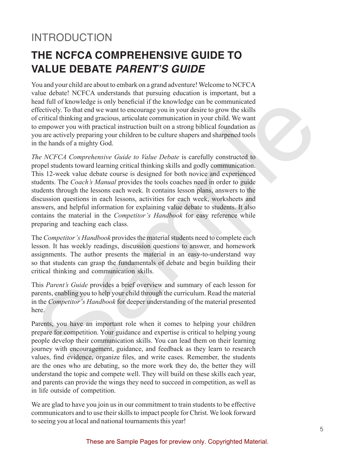# INTRODUCTION

# **THE NCFCA COMPREHENSIVE GUIDE TO VALUE DEBATE PARENT'S GUIDE**

You and your child are about to embark on a grand adventure! Welcome to NCFCA value debate! NCFCA understands that pursuing education is important, but a head full of knowledge is only beneficial if the knowledge can be communicated effectively. To that end we want to encourage you in your desire to grow the skills of critical thinking and gracious, articulate communication in your child. We want to empower you with practical instruction built on a strong biblical foundation as you are actively preparing your children to be culture shapers and sharpened tools in the hands of a mighty God.

*The NCFCA Comprehensive Guide to Value Debate* is carefully constructed to propel students toward learning critical thinking skills and godly communication. This 12-week value debate course is designed for both novice and experienced students. The *Coach's Manual* provides the tools coaches need in order to guide students through the lessons each week. It contains lesson plans, answers to the discussion questions in each lessons, activities for each week, worksheets and answers, and helpful information for explaining value debate to students. It also contains the material in the *Competitor's Handbook* for easy reference while preparing and teaching each class. head full of knowledge is only heneficial if the knowledge can be communicated<br>effectively. To that end we want to encourage you in your desire to grow the skills<br>of critical thinking and gracious, arriculate communication

The *Competitor's Handbook* provides the material students need to complete each lesson. It has weekly readings, discussion questions to answer, and homework assignments. The author presents the material in an easy-to-understand way so that students can grasp the fundamentals of debate and begin building their critical thinking and communication skills.

This *Parent's Guide* provides a brief overview and summary of each lesson for parents, enabling you to help your child through the curriculum. Read the material in the *Competitor's Handbook* for deeper understanding of the material presented here.

Parents, you have an important role when it comes to helping your children prepare for competition. Your guidance and expertise is critical to helping young people develop their communication skills. You can lead them on their learning journey with encouragement, guidance, and feedback as they learn to research values, find evidence, organize files, and write cases. Remember, the students are the ones who are debating, so the more work they do, the better they will understand the topic and compete well. They will build on these skills each year, and parents can provide the wings they need to succeed in competition, as well as in life outside of competition.

We are glad to have you join us in our commitment to train students to be effective communicators and to use their skills to impact people for Christ. We look forward to seeing you at local and national tournaments this year!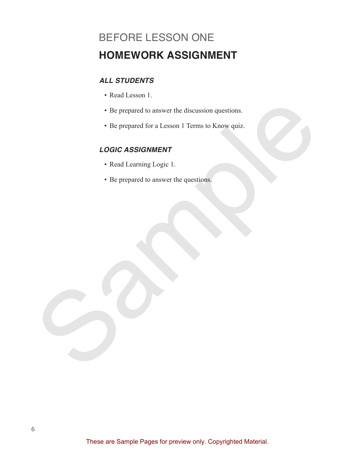# BEFORE LESSON ONE **HOMEWORK ASSIGNMENT**

## **ALL STUDENTS**

- Read Lesson 1.
- Be prepared to answer the discussion questions.
- Be prepared for a Lesson 1 Terms to Know quiz. Sample Procedure and Consider the discussion questions.<br>
Sample and Consider a Lesson 1 Terms to Know quize<br>
Sample and Learning Logic 1.<br>
Sample and Consider the questions.<br>
Sample and Consider the questions.<br>
Sample and

#### **LOGIC ASSIGNMENT**

- Read Learning Logic 1.
- Be prepared to answer the questions.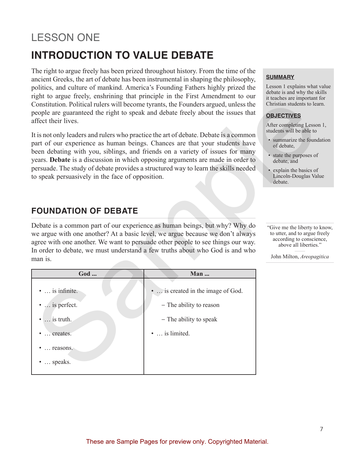# LESSON ONE **INTRODUCTION TO VALUE DEBATE**

The right to argue freely has been prized throughout history. From the time of the ancient Greeks, the art of debate has been instrumental in shaping the philosophy, politics, and culture of mankind. America's Founding Fathers highly prized the right to argue freely, enshrining that principle in the First Amendment to our Constitution. Political rulers will become tyrants, the Founders argued, unless the people are guaranteed the right to speak and debate freely about the issues that affect their lives.

# **FOUNDATION OF DEBATE**

| Constitution. Political rulers will become tyrants, the Founders argued, unless the<br>people are guaranteed the right to speak and debate freely about the issues that<br>affect their lives.<br>It is not only leaders and rulers who practice the art of debate. Debate is a common<br>part of our experience as human beings. Chances are that your students have<br>been debating with you, siblings, and friends on a variety of issues for many<br>years. Debate is a discussion in which opposing arguments are made in order to<br>persuade. The study of debate provides a structured way to learn the skills needed<br>to speak persuasively in the face of opposition.<br><b>FOUNDATION OF DEBATE</b> | it teaches are important.<br>Christian students to lea<br><b>OBJECTIVES</b><br>After completing Lessor<br>students will be able to<br>• summarize the found<br>of debate,<br>• state the purposes of<br>debate, and<br>• explain the basics of<br>Lincoln-Douglas Val<br>debate. |                                                                                                                               |
|-------------------------------------------------------------------------------------------------------------------------------------------------------------------------------------------------------------------------------------------------------------------------------------------------------------------------------------------------------------------------------------------------------------------------------------------------------------------------------------------------------------------------------------------------------------------------------------------------------------------------------------------------------------------------------------------------------------------|----------------------------------------------------------------------------------------------------------------------------------------------------------------------------------------------------------------------------------------------------------------------------------|-------------------------------------------------------------------------------------------------------------------------------|
| Debate is a common part of our experience as human beings, but why? Why do<br>we argue with one another? At a basic level, we argue because we don't always<br>agree with one another. We want to persuade other people to see things our way.<br>In order to debate, we must understand a few truths about who God is and who<br>man is.                                                                                                                                                                                                                                                                                                                                                                         |                                                                                                                                                                                                                                                                                  | "Give me the liberty to<br>to utter, and to argue fi<br>according to conscier<br>above all liberties.<br>John Milton, Areopag |
| God                                                                                                                                                                                                                                                                                                                                                                                                                                                                                                                                                                                                                                                                                                               | Man                                                                                                                                                                                                                                                                              |                                                                                                                               |
| $\bullet$ is infinite.<br>•  is perfect.<br>$\bullet$ is truth.<br>•  creates.<br>$\bullet$ reasons.<br>$\bullet$ speaks.                                                                                                                                                                                                                                                                                                                                                                                                                                                                                                                                                                                         | is created in the image of God.<br>- The ability to reason<br>- The ability to speak<br>•  is limited.                                                                                                                                                                           |                                                                                                                               |

#### **SUMMARY**

Lesson 1 explains what value debate is and why the skills it teaches are important for Christian students to learn.

#### **OBJECTIVES**

After completing Lesson 1, students will be able to

- summarize the foundation of debate,
- state the purposes of debate, and
- explain the basics of Lincoln-Douglas Value debate.

"Give me the liberty to know, to utter, and to argue freely according to conscience, above all liberties."

John Milton, *Areopagitica*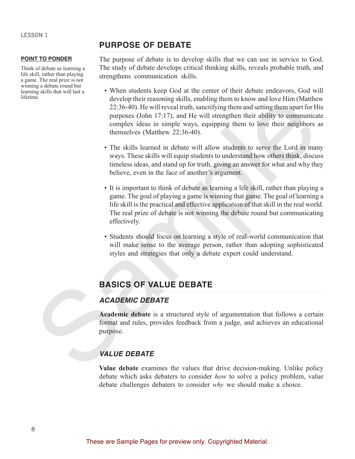#### **POINT TO PONDER**

Think of debate as learning a life skill, rather than playing a game. The real prize is not winning a debate round but learning skills that will last a lifetime.

#### **PURPOSE OF DEBATE**

The purpose of debate is to develop skills that we can use in service to God. The study of debate develops critical thinking skills, reveals probable truth, and strengthens communication skills.

- When students keep God at the center of their debate endeavors, God will develop their reasoning skills, enabling them to know and love Him (Matthew 22:36-40). He will reveal truth, sanctifying them and setting them apart for His purposes (John 17:17), and He will strengthen their ability to communicate complex ideas in simple ways, equipping them to love their neighbors as themselves (Matthew 22:36-40).
- The skills learned in debate will allow students to serve the Lord in many ways. These skills will equip students to understand how others think, discuss timeless ideas, and stand up for truth, giving an answer for what and why they believe, even in the face of another's argument.
- It is important to think of debate as learning a life skill, rather than playing a game. The goal of playing a game is winning that game. The goal of learning a life skill is the practical and effective application of that skill in the real world. The real prize of debate is not winning the debate round but communicating effectively. acking the stationary satus, channell near no solve and over Hm (Mattendon)<br>
22:36-40). He will reveal truth, sanctifying them and setting them apart for Hipper<br>
purposes (John 17:17), and He will strengthen their ability
	- Students should focus on learning a style of real-world communication that will make sense to the average person, rather than adopting sophisticated styles and strategies that only a debate expert could understand.

# **BASICS OF VALUE DEBATE**

## **ACADEMIC DEBATE**

**Academic debate** is a structured style of argumentation that follows a certain format and rules, provides feedback from a judge, and achieves an educational purpose.

#### **VALUE DEBATE**

**Value debate** examines the values that drive decision-making. Unlike policy debate which asks debaters to consider *how* to solve a policy problem, value debate challenges debaters to consider *why* we should make a choice.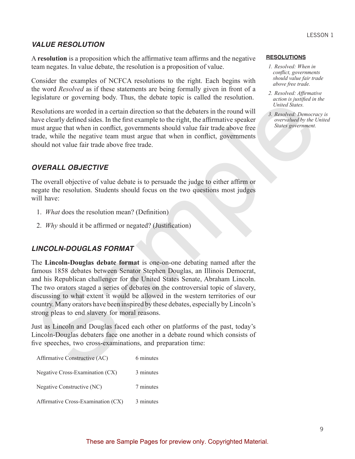#### **VALUE RESOLUTION**

A **resolution** is a proposition which the affirmative team affirms and the negative team negates. In value debate, the resolution is a proposition of value.

Consider the examples of NCFCA resolutions to the right. Each begins with the word *Resolved* as if these statements are being formally given in front of a legislature or governing body. Thus, the debate topic is called the resolution.

Resolutions are worded in a certain direction so that the debaters in the round will have clearly defined sides. In the first example to the right, the affirmative speaker must argue that when in conflict, governments should value fair trade above free trade, while the negative team must argue that when in conflict, governments should not value fair trade above free trade.

#### **OVERALL OBJECTIVE**

The overall objective of value debate is to persuade the judge to either affirm or negate the resolution. Students should focus on the two questions most judges will have:

- 1. *What* does the resolution mean? (Definition)
- 2. *Why* should it be affirmed or negated? (Justification)

#### **LINCOLN-DOUGLAS FORMAT**

The **Lincoln-Douglas debate format** is one-on-one debating named after the famous 1858 debates between Senator Stephen Douglas, an Illinois Democrat, and his Republican challenger for the United States Senate, Abraham Lincoln. The two orators staged a series of debates on the controversial topic of slavery, discussing to what extent it would be allowed in the western territories of our country. Many orators have been inspired by these debates, especially by Lincoln's strong pleas to end slavery for moral reasons. Expaisant or a solventure over the same that the debates in the conduction and provide Resolutions are worlded in a certain direction so that the debates in the found will be the fine that the certain direction is that th

Just as Lincoln and Douglas faced each other on platforms of the past, today's Lincoln-Douglas debaters face one another in a debate round which consists of five speeches, two cross-examinations, and preparation time:

| Affirmative Constructive (AC)      | 6 minutes |
|------------------------------------|-----------|
| Negative Cross-Examination (CX)    | 3 minutes |
| Negative Constructive (NC)         | 7 minutes |
| Affirmative Cross-Examination (CX) | 3 minutes |

#### **RESOLUTIONS**

- *1. Resolved: When in conflict, governments should value fair trade above free trade.*
- *2. Resolved: Affirmative action is justified in the United States.*
- *3. Resolved: Democracy is overvalued by the United States government.*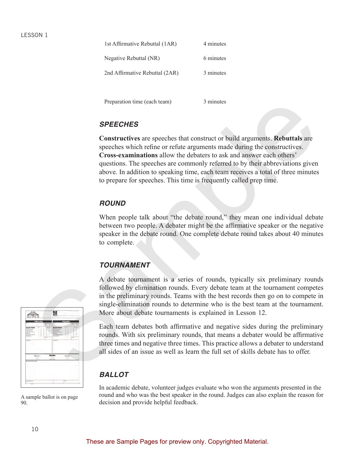| 1st Affirmative Rebuttal (1AR) | 4 minutes |
|--------------------------------|-----------|
| Negative Rebuttal (NR)         | 6 minutes |
| 2nd Affirmative Rebuttal (2AR) | 3 minutes |

Preparation time (each team) 3 minutes

#### **SPEECHES**

**Constructives** are speeches that construct or build arguments. **Rebuttals** are speeches which refine or refute arguments made during the constructives. **Cross-examinations** allow the debaters to ask and answer each others' questions. The speeches are commonly referred to by their abbreviations given above. In addition to speaking time, each team receives a total of three minutes to prepare for speeches. This time is frequently called prep time. Preparation time (each team)<br>
3 minutes<br>
SPEECHES<br>
Constructives are speeches that construct or build arguments. Rebuttals are<br>
speeches which refine or refite arguments made during the constructives<br>
Cross-examinations al

#### **ROUND**

When people talk about "the debate round," they mean one individual debate between two people. A debater might be the affirmative speaker or the negative speaker in the debate round. One complete debate round takes about 40 minutes to complete.

## **TOURNAMENT**

A debate tournament is a series of rounds, typically six preliminary rounds followed by elimination rounds. Every debate team at the tournament competes in the preliminary rounds. Teams with the best records then go on to compete in single-elimination rounds to determine who is the best team at the tournament. More about debate tournaments is explained in Lesson 12.

Each team debates both affirmative and negative sides during the preliminary rounds. With six preliminary rounds, that means a debater would be affirmative three times and negative three times. This practice allows a debater to understand all sides of an issue as well as learn the full set of skills debate has to offer.

## **BALLOT**

In academic debate, volunteer judges evaluate who won the arguments presented in the round and who was the best speaker in the round. Judges can also explain the reason for decision and provide helpful feedback.



A sample ballot is on page 90.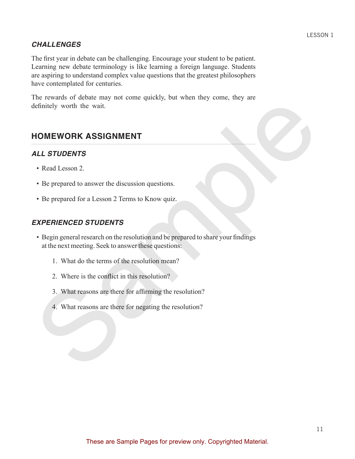#### **CHALLENGES**

The first year in debate can be challenging. Encourage your student to be patient. Learning new debate terminology is like learning a foreign language. Students are aspiring to understand complex value questions that the greatest philosophers have contemplated for centuries.

The rewards of debate may not come quickly, but when they come, they are definitely worth the wait.

# **HOMEWORK ASSIGNMENT**

#### **ALL STUDENTS**

- Read Lesson 2.
- Be prepared to answer the discussion questions.
- Be prepared for a Lesson 2 Terms to Know quiz.

## **EXPERIENCED STUDENTS**

- Begin general research on the resolution and be prepared to share your findings at the next meeting. Seek to answer these questions: The Tevants of above hangy into come quasity, one when may votal, may are<br>
HOMEWORK ASSIGNMENT<br>
ALL STUDENTS<br>
• Read Lesson 2.<br>
• Be prepared to answer the discussion questions.<br>
• Be prepared for a I esson 2 Terms to Know
	- 1. What do the terms of the resolution mean?
	- 2. Where is the conflict in this resolution?
	- 3. What reasons are there for affirming the resolution?
	- 4. What reasons are there for negating the resolution?